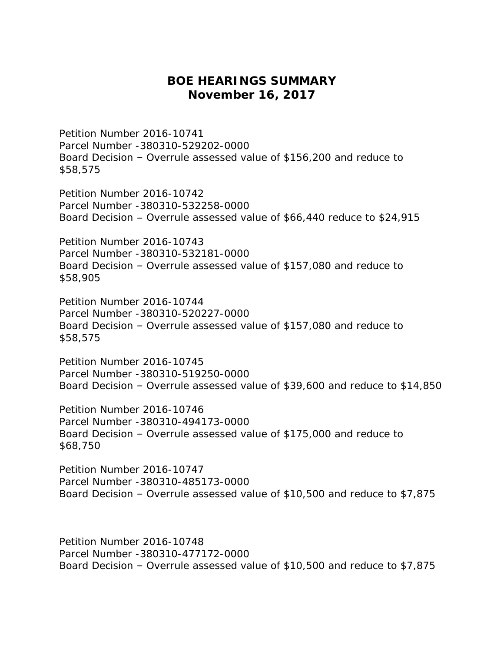## **BOE HEARINGS SUMMARY November 16, 2017**

Petition Number 2016-10741 Parcel Number -380310-529202-0000 Board Decision – Overrule assessed value of \$156,200 and reduce to \$58,575

Petition Number 2016-10742 Parcel Number -380310-532258-0000 Board Decision – Overrule assessed value of \$66,440 reduce to \$24,915

Petition Number 2016-10743 Parcel Number -380310-532181-0000 Board Decision – Overrule assessed value of \$157,080 and reduce to \$58,905

Petition Number 2016-10744 Parcel Number -380310-520227-0000 Board Decision – Overrule assessed value of \$157,080 and reduce to \$58,575

Petition Number 2016-10745 Parcel Number -380310-519250-0000 Board Decision – Overrule assessed value of \$39,600 and reduce to \$14,850

Petition Number 2016-10746 Parcel Number -380310-494173-0000 Board Decision – Overrule assessed value of \$175,000 and reduce to \$68,750

Petition Number 2016-10747 Parcel Number -380310-485173-0000 Board Decision – Overrule assessed value of \$10,500 and reduce to \$7,875

Petition Number 2016-10748 Parcel Number -380310-477172-0000 Board Decision – Overrule assessed value of \$10,500 and reduce to \$7,875